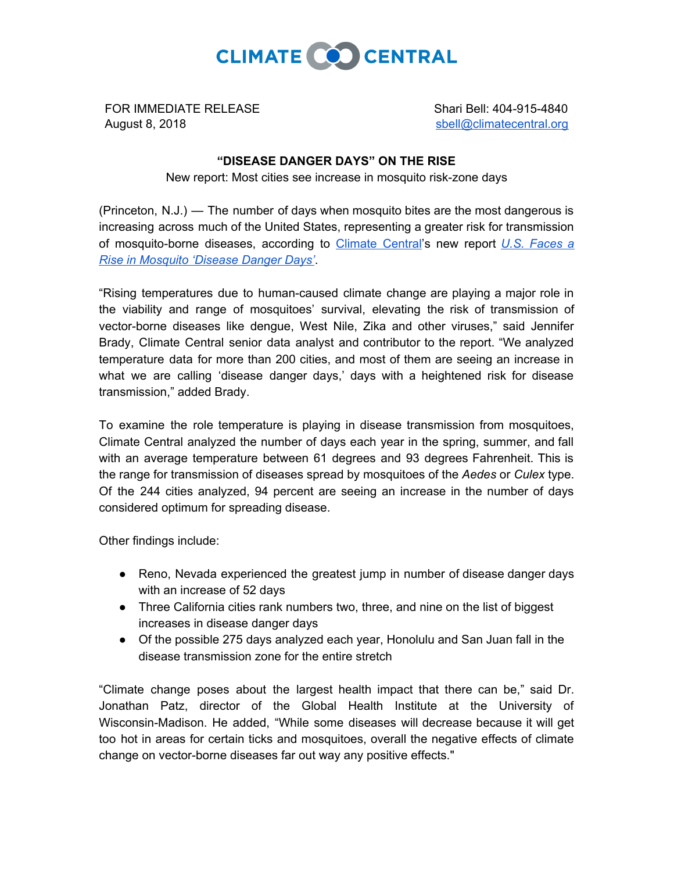

FOR IMMEDIATE RELEASE August 8, 2018

Shari Bell: 404-915-4840 [sbell@climatecentral.org](mailto:sbell@climatecentral.org)

## **"DISEASE DANGER DAYS" ON THE RISE**

New report: Most cities see increase in mosquito risk-zone days

(Princeton, N.J.) — The number of days when mosquito bites are the most dangerous is increasing across much of the United States, representing a greater risk for transmission of mosquito-borne diseases, according to [Climate](http://www.climatecentral.org/) Central's new report *U.S. [Faces](http://www.climatecentral.org/news/us-faces-a-rise-in-mosquito-disease-danger-days-21903) a Rise in [Mosquito](http://www.climatecentral.org/news/us-faces-a-rise-in-mosquito-disease-danger-days-21903) 'Disease Danger Days'*.

"Rising temperatures due to human-caused climate change are playing a major role in the viability and range of mosquitoes' survival, elevating the risk of transmission of vector-borne diseases like dengue, West Nile, Zika and other viruses," said Jennifer Brady, Climate Central senior data analyst and contributor to the report. "We analyzed temperature data for more than 200 cities, and most of them are seeing an increase in what we are calling 'disease danger days,' days with a heightened risk for disease transmission," added Brady.

To examine the role temperature is playing in disease transmission from mosquitoes, Climate Central analyzed the number of days each year in the spring, summer, and fall with an average temperature between 61 degrees and 93 degrees Fahrenheit. This is the range for transmission of diseases spread by mosquitoes of the *Aedes* or *Culex* type. Of the 244 cities analyzed, 94 percent are seeing an increase in the number of days considered optimum for spreading disease.

Other findings include:

- Reno, Nevada experienced the greatest jump in number of disease danger days with an increase of 52 days
- Three California cities rank numbers two, three, and nine on the list of biggest increases in disease danger days
- Of the possible 275 days analyzed each year, Honolulu and San Juan fall in the disease transmission zone for the entire stretch

"Climate change poses about the largest health impact that there can be," said Dr. Jonathan Patz, director of the Global Health Institute at the University of Wisconsin-Madison. He added, "While some diseases will decrease because it will get too hot in areas for certain ticks and mosquitoes, overall the negative effects of climate change on vector-borne diseases far out way any positive effects."